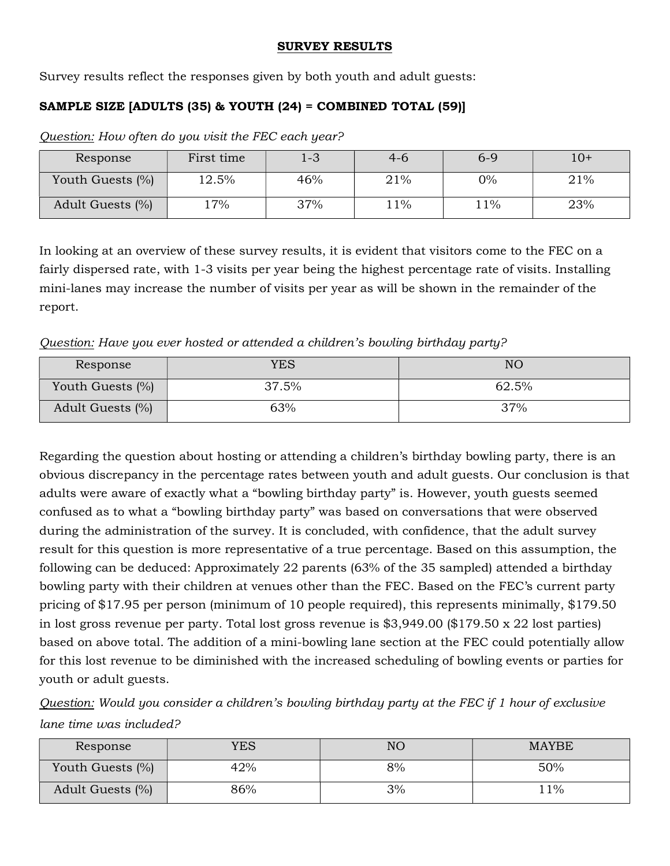## SURVEY RESULTS

Survey results reflect the responses given by both youth and adult guests:

## SAMPLE SIZE [ADULTS (35) & YOUTH (24) = COMBINED TOTAL (59)]

Question: How often do you visit the FEC each year?

| Response         | First time | 1-3 | 4-6 | $6 - 9$ | $10+$ |
|------------------|------------|-----|-----|---------|-------|
| Youth Guests (%) | $12.5\%$   | 46% | 21% | $0\%$   | 21%   |
| Adult Guests (%) | 17%        | 37% | 11% | 11%     | 23%   |

In looking at an overview of these survey results, it is evident that visitors come to the FEC on a fairly dispersed rate, with 1-3 visits per year being the highest percentage rate of visits. Installing mini-lanes may increase the number of visits per year as will be shown in the remainder of the report.

Question: Have you ever hosted or attended a children's bowling birthday party?

| Response         | YES   | NΟ    |
|------------------|-------|-------|
| Youth Guests (%) | 37.5% | 62.5% |
| Adult Guests (%) | 63%   | 37%   |

Regarding the question about hosting or attending a children's birthday bowling party, there is an obvious discrepancy in the percentage rates between youth and adult guests. Our conclusion is that adults were aware of exactly what a "bowling birthday party" is. However, youth guests seemed confused as to what a "bowling birthday party" was based on conversations that were observed during the administration of the survey. It is concluded, with confidence, that the adult survey result for this question is more representative of a true percentage. Based on this assumption, the following can be deduced: Approximately 22 parents (63% of the 35 sampled) attended a birthday bowling party with their children at venues other than the FEC. Based on the FEC's current party pricing of \$17.95 per person (minimum of 10 people required), this represents minimally, \$179.50 in lost gross revenue per party. Total lost gross revenue is \$3,949.00 (\$179.50 x 22 lost parties) based on above total. The addition of a mini-bowling lane section at the FEC could potentially allow for this lost revenue to be diminished with the increased scheduling of bowling events or parties for youth or adult guests.

Question: Would you consider a children's bowling birthday party at the FEC if 1 hour of exclusive lane time was included?

| Response         | YES | NC | <b>MAYBE</b> |
|------------------|-----|----|--------------|
| Youth Guests (%) | 42% | 8% | 50%          |
| Adult Guests (%) | 86% | 3% | 1%           |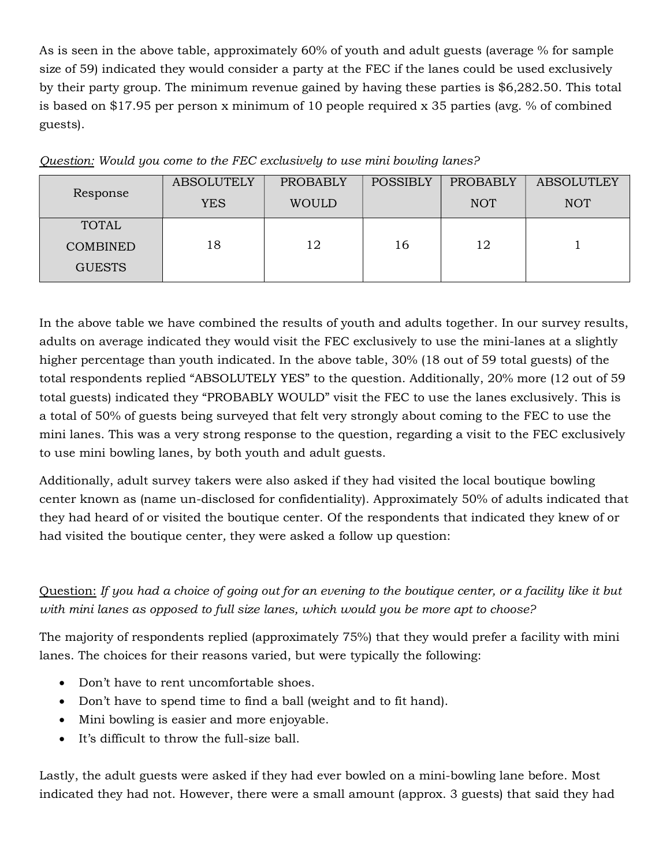As is seen in the above table, approximately 60% of youth and adult guests (average % for sample size of 59) indicated they would consider a party at the FEC if the lanes could be used exclusively by their party group. The minimum revenue gained by having these parties is \$6,282.50. This total is based on \$17.95 per person x minimum of 10 people required x 35 parties (avg. % of combined guests).

|                 | <b>ABSOLUTELY</b> | <b>PROBABLY</b> | <b>POSSIBLY</b> | <b>PROBABLY</b> | <b>ABSOLUTLEY</b> |
|-----------------|-------------------|-----------------|-----------------|-----------------|-------------------|
| Response        | <b>YES</b>        | <b>WOULD</b>    |                 | <b>NOT</b>      | <b>NOT</b>        |
| <b>TOTAL</b>    |                   |                 |                 |                 |                   |
| <b>COMBINED</b> | 18                | 12              | 16              | 12              |                   |
| <b>GUESTS</b>   |                   |                 |                 |                 |                   |

|  | Question: Would you come to the FEC exclusively to use mini bowling lanes? |  |  |  |
|--|----------------------------------------------------------------------------|--|--|--|
|  |                                                                            |  |  |  |

In the above table we have combined the results of youth and adults together. In our survey results, adults on average indicated they would visit the FEC exclusively to use the mini-lanes at a slightly higher percentage than youth indicated. In the above table, 30% (18 out of 59 total guests) of the total respondents replied "ABSOLUTELY YES" to the question. Additionally, 20% more (12 out of 59 total guests) indicated they "PROBABLY WOULD" visit the FEC to use the lanes exclusively. This is a total of 50% of guests being surveyed that felt very strongly about coming to the FEC to use the mini lanes. This was a very strong response to the question, regarding a visit to the FEC exclusively to use mini bowling lanes, by both youth and adult guests.

Additionally, adult survey takers were also asked if they had visited the local boutique bowling center known as (name un-disclosed for confidentiality). Approximately 50% of adults indicated that they had heard of or visited the boutique center. Of the respondents that indicated they knew of or had visited the boutique center, they were asked a follow up question:

Question: If you had a choice of going out for an evening to the boutique center, or a facility like it but with mini lanes as opposed to full size lanes, which would you be more apt to choose?

The majority of respondents replied (approximately 75%) that they would prefer a facility with mini lanes. The choices for their reasons varied, but were typically the following:

- Don't have to rent uncomfortable shoes.
- Don't have to spend time to find a ball (weight and to fit hand).
- Mini bowling is easier and more enjoyable.
- It's difficult to throw the full-size ball.

Lastly, the adult guests were asked if they had ever bowled on a mini-bowling lane before. Most indicated they had not. However, there were a small amount (approx. 3 guests) that said they had